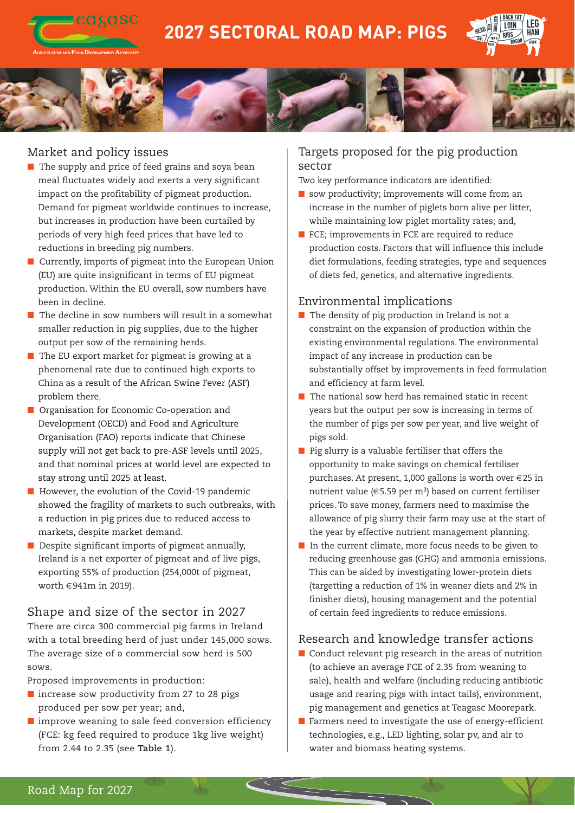

# **2027 SECTORAL ROAD MAP: PIGS**





## Market and policy issues

- $\blacksquare$  The supply and price of feed grains and soya bean meal fluctuates widely and exerts a very significant impact on the profitability of pigmeat production. Demand for pigmeat worldwide continues to increase, but increases in production have been curtailed by periods of very high feed prices that have led to reductions in breeding pig numbers.
- $\blacksquare$  Currently, imports of pigmeat into the European Union (EU) are quite insignificant in terms of EU pigmeat production. Within the EU overall, sow numbers have been in decline.
- $\blacksquare$  The decline in sow numbers will result in a somewhat smaller reduction in pig supplies, due to the higher output per sow of the remaining herds.
- $\blacksquare$  The EU export market for pigmeat is growing at a phenomenal rate due to continued high exports to China as a result of the African Swine Fever (ASF) problem there.
- **n** Organisation for Economic Co-operation and Development (OECD) and Food and Agriculture Organisation (FAO) reports indicate that Chinese supply will not get back to pre-ASF levels until 2025, and that nominal prices at world level are expected to stay strong until 2025 at least.
- $\blacksquare$  However, the evolution of the Covid-19 pandemic showed the fragility of markets to such outbreaks, with a reduction in pig prices due to reduced access to markets, despite market demand.
- $\blacksquare$  Despite significant imports of pigmeat annually, Ireland is a net exporter of pigmeat and of live pigs, exporting 55% of production (254,000t of pigmeat, worth €941m in 2019).

#### Shape and size of the sector in 2027

There are circa 300 commercial pig farms in Ireland with a total breeding herd of just under 145,000 sows. The average size of a commercial sow herd is 500 sows.

Proposed improvements in production:

- $\blacksquare$  increase sow productivity from 27 to 28 pigs produced per sow per year; and,
- $\blacksquare$  improve weaning to sale feed conversion efficiency (FCE: kg feed required to produce 1kg live weight) from 2.44 to 2.35 (see **Table 1**).

## Targets proposed for the pig production sector

Two key performance indicators are identified:

- $\blacksquare$  sow productivity; improvements will come from an increase in the number of piglets born alive per litter, while maintaining low piglet mortality rates; and,
- $\blacksquare$  FCE; improvements in FCE are required to reduce production costs. Factors that will influence this include diet formulations, feeding strategies, type and sequences of diets fed, genetics, and alternative ingredients.

## Environmental implications

- $\blacksquare$  The density of pig production in Ireland is not a constraint on the expansion of production within the existing environmental regulations. The environmental impact of any increase in production can be substantially offset by improvements in feed formulation and efficiency at farm level.
- $\blacksquare$  The national sow herd has remained static in recent years but the output per sow is increasing in terms of the number of pigs per sow per year, and live weight of pigs sold.
- $\blacksquare$  Pig slurry is a valuable fertiliser that offers the opportunity to make savings on chemical fertiliser purchases. At present, 1,000 gallons is worth over €25 in nutrient value ( $\in$  5.59 per m<sup>3</sup>) based on current fertiliser prices. To save money, farmers need to maximise the allowance of pig slurry their farm may use at the start of the year by effective nutrient management planning.
- $\blacksquare$  In the current climate, more focus needs to be given to reducing greenhouse gas (GHG) and ammonia emissions. This can be aided by investigating lower-protein diets (targetting a reduction of 1% in weaner diets and 2% in finisher diets), housing management and the potential of certain feed ingredients to reduce emissions.

## Research and knowledge transfer actions

- $\blacksquare$  Conduct relevant pig research in the areas of nutrition (to achieve an average FCE of 2.35 from weaning to sale), health and welfare (including reducing antibiotic usage and rearing pigs with intact tails), environment, pig management and genetics at Teagasc Moorepark.
- $\blacksquare$  Farmers need to investigate the use of energy-efficient technologies, e.g., LED lighting, solar pv, and air to water and biomass heating systems.